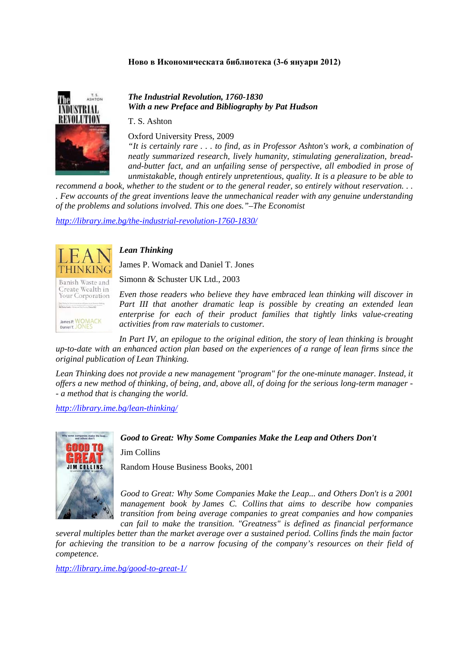### **Ново в Икономическата библиотека (3-6 януари 2012)**



*The Industrial Revolution, 1760-1830 With a new Preface and Bibliography by Pat Hudson* 

T. S. Ashton

Oxford University Press, 2009

*"It is certainly rare . . . to find, as in Professor Ashton's work, a combination of neatly summarized research, lively humanity, stimulating generalization, breadand-butter fact, and an unfailing sense of perspective, all embodied in prose of unmistakable, though entirely unpretentious, quality. It is a pleasure to be able to* 

*recommend a book, whether to the student or to the general reader, so entirely without reservation... . Few accounts of the great inventions leave the unmechanical reader with any genuine understanding of the problems and solutions involved. This one does."–The Economist* 

*http://library.ime.bg/the-industrial-revolution-1760-1830/*

# Banish Waste and

Create Wealth in Your Corporation

James P. WOMACK<br>Daniel T. JONES

## *Lean Thinking*

James P. Womack and Daniel T. Jones

Simonn & Schuster UK Ltd., 2003

*Even those readers who believe they have embraced lean thinking will discover in Part III that another dramatic leap is possible by creating an extended lean enterprise for each of their product families that tightly links value-creating activities from raw materials to customer.* 

*In Part IV, an epilogue to the original edition, the story of lean thinking is brought up-to-date with an enhanced action plan based on the experiences of a range of lean firms since the original publication of Lean Thinking.* 

*Lean Thinking does not provide a new management "program" for the one-minute manager. Instead, it offers a new method of thinking, of being, and, above all, of doing for the serious long-term manager - - a method that is changing the world.* 

*http://library.ime.bg/lean-thinking/*



#### *Good to Great: Why Some Companies Make the Leap and Others Don't*

Jim Collins

Random House Business Books, 2001

*Good to Great: Why Some Companies Make the Leap... and Others Don't is a 2001 management book by James C. Collins that aims to describe how companies transition from being average companies to great companies and how companies can fail to make the transition. "Greatness" is defined as financial performance* 

*several multiples better than the market average over a sustained period. Collins finds the main factor for achieving the transition to be a narrow focusing of the company's resources on their field of competence.* 

*http://library.ime.bg/good-to-great-1/*